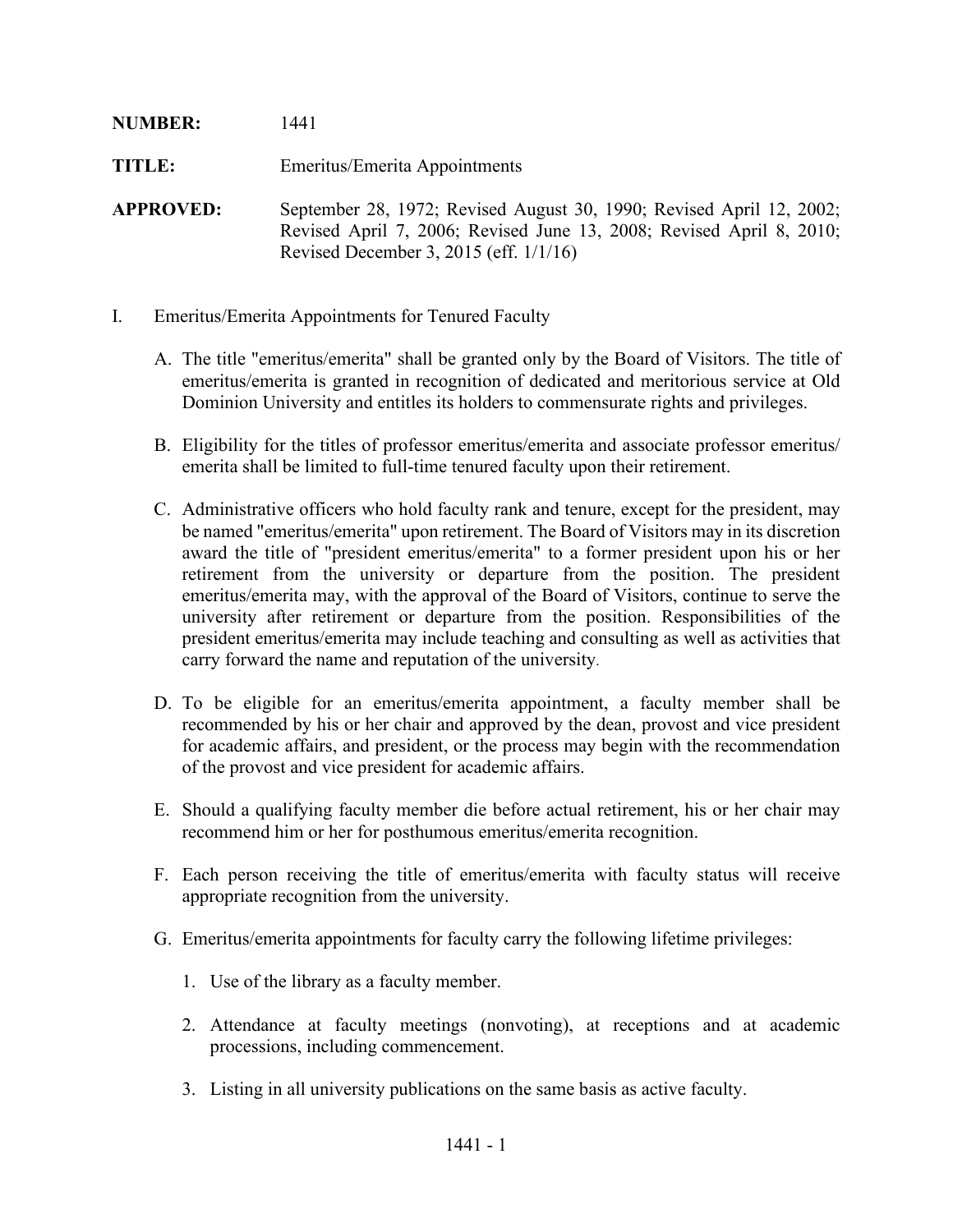| <b>NUMBER:</b>   | 1441                                                                                                                                                                                      |
|------------------|-------------------------------------------------------------------------------------------------------------------------------------------------------------------------------------------|
| <b>TITLE:</b>    | Emeritus/Emerita Appointments                                                                                                                                                             |
| <b>APPROVED:</b> | September 28, 1972; Revised August 30, 1990; Revised April 12, 2002;<br>Revised April 7, 2006; Revised June 13, 2008; Revised April 8, 2010;<br>Revised December 3, 2015 (eff. $1/1/16$ ) |

- I. Emeritus/Emerita Appointments for Tenured Faculty
	- A. The title "emeritus/emerita" shall be granted only by the Board of Visitors. The title of emeritus/emerita is granted in recognition of dedicated and meritorious service at Old Dominion University and entitles its holders to commensurate rights and privileges.
	- B. Eligibility for the titles of professor emeritus/emerita and associate professor emeritus/ emerita shall be limited to full-time tenured faculty upon their retirement.
	- C. Administrative officers who hold faculty rank and tenure, except for the president, may be named "emeritus/emerita" upon retirement. The Board of Visitors may in its discretion award the title of "president emeritus/emerita" to a former president upon his or her retirement from the university or departure from the position. The president emeritus/emerita may, with the approval of the Board of Visitors, continue to serve the university after retirement or departure from the position. Responsibilities of the president emeritus/emerita may include teaching and consulting as well as activities that carry forward the name and reputation of the university.
	- D. To be eligible for an emeritus/emerita appointment, a faculty member shall be recommended by his or her chair and approved by the dean, provost and vice president for academic affairs, and president, or the process may begin with the recommendation of the provost and vice president for academic affairs.
	- E. Should a qualifying faculty member die before actual retirement, his or her chair may recommend him or her for posthumous emeritus/emerita recognition.
	- F. Each person receiving the title of emeritus/emerita with faculty status will receive appropriate recognition from the university.
	- G. Emeritus/emerita appointments for faculty carry the following lifetime privileges:
		- 1. Use of the library as a faculty member.
		- 2. Attendance at faculty meetings (nonvoting), at receptions and at academic processions, including commencement.
		- 3. Listing in all university publications on the same basis as active faculty.